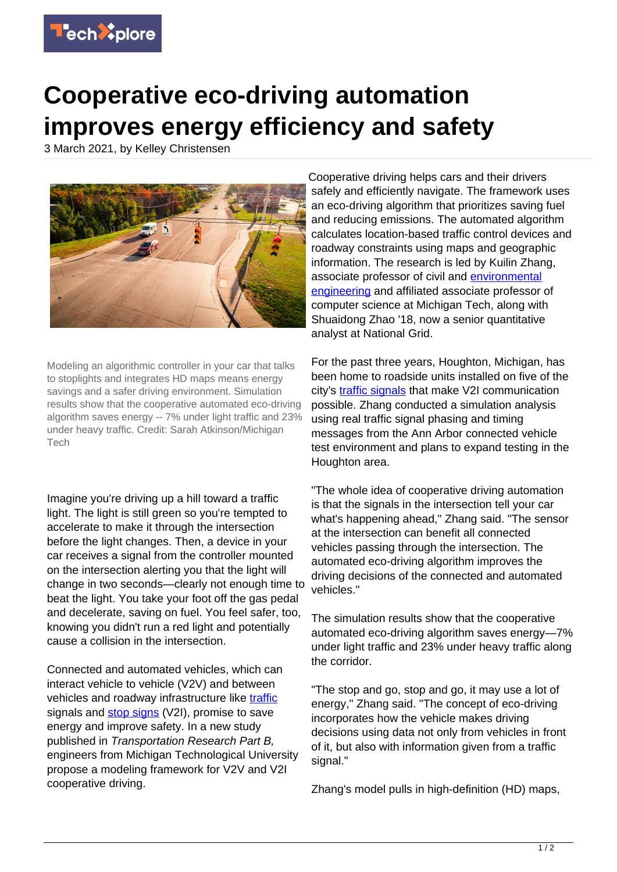

## **Cooperative eco-driving automation improves energy efficiency and safety**

3 March 2021, by Kelley Christensen



Modeling an algorithmic controller in your car that talks to stoplights and integrates HD maps means energy savings and a safer driving environment. Simulation results show that the cooperative automated eco-driving algorithm saves energy -- 7% under light traffic and 23% under heavy traffic. Credit: Sarah Atkinson/Michigan Tech

Imagine you're driving up a hill toward a traffic light. The light is still green so you're tempted to accelerate to make it through the intersection before the light changes. Then, a device in your car receives a signal from the controller mounted on the intersection alerting you that the light will change in two seconds—clearly not enough time to beat the light. You take your foot off the gas pedal and decelerate, saving on fuel. You feel safer, too, knowing you didn't run a red light and potentially cause a collision in the intersection.

Connected and automated vehicles, which can interact vehicle to vehicle (V2V) and between vehicles and roadway infrastructure like [traffic](https://techxplore.com/tags/traffic/) signals and [stop signs](https://techxplore.com/tags/stop+signs/) (V2I), promise to save energy and improve safety. In a new study published in Transportation Research Part B, engineers from Michigan Technological University propose a modeling framework for V2V and V2I cooperative driving.

Cooperative driving helps cars and their drivers safely and efficiently navigate. The framework uses an eco-driving algorithm that prioritizes saving fuel and reducing emissions. The automated algorithm calculates location-based traffic control devices and roadway constraints using maps and geographic information. The research is led by Kuilin Zhang, associate professor of civil and **[environmental](https://techxplore.com/tags/environmental+engineering/)** [engineering](https://techxplore.com/tags/environmental+engineering/) and affiliated associate professor of computer science at Michigan Tech, along with Shuaidong Zhao '18, now a senior quantitative analyst at National Grid.

For the past three years, Houghton, Michigan, has been home to roadside units installed on five of the city's [traffic signals](https://techxplore.com/tags/traffic+signals/) that make V2I communication possible. Zhang conducted a simulation analysis using real traffic signal phasing and timing messages from the Ann Arbor connected vehicle test environment and plans to expand testing in the Houghton area.

"The whole idea of cooperative driving automation is that the signals in the intersection tell your car what's happening ahead," Zhang said. "The sensor at the intersection can benefit all connected vehicles passing through the intersection. The automated eco-driving algorithm improves the driving decisions of the connected and automated vehicles."

The simulation results show that the cooperative automated eco-driving algorithm saves energy—7% under light traffic and 23% under heavy traffic along the corridor.

"The stop and go, stop and go, it may use a lot of energy," Zhang said. "The concept of eco-driving incorporates how the vehicle makes driving decisions using data not only from vehicles in front of it, but also with information given from a traffic signal."

Zhang's model pulls in high-definition (HD) maps,